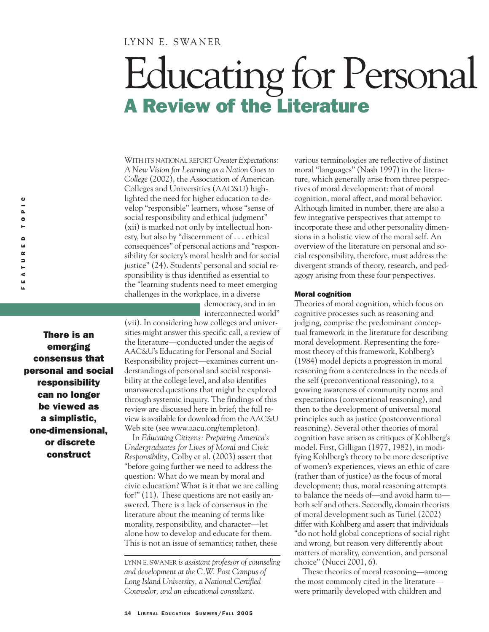### LYNN E. SWANER

# Educating for Personal A Review of the Literature

WITH ITS NATIONAL REPORT *Greater Expectations: A New Vision for Learning as a Nation Goes to College* (2002), the Association of American Colleges and Universities (AAC&U) highlighted the need for higher education to develop "responsible" learners, whose "sense of social responsibility and ethical judgment" (xii) is marked not only by intellectual honesty, but also by "discernment of . . . ethical consequences" of personal actions and "responsibility for society's moral health and for social justice" (24). Students' personal and social responsibility is thus identified as essential to the "learning students need to meet emerging challenges in the workplace, in a diverse

> democracy, and in an interconnected world"

There is an emerging consensus that personal and social responsibility can no longer be viewed as a simplistic, one-dimensional, or discrete construct

(vii). In considering how colleges and universities might answer this specific call, a review of the literature—conducted under the aegis of AAC&U's Educating for Personal and Social Responsibility project—examines current understandings of personal and social responsibility at the college level, and also identifies unanswered questions that might be explored through systemic inquiry. The findings of this review are discussed here in brief; the full review is available for download from the AAC&U Web site (see www.aacu.org/templeton).

In *Educating Citizens: Preparing America's Undergraduates for Lives of Moral and Civic Responsibility,* Colby et al. (2003) assert that "before going further we need to address the question: What do we mean by moral and civic education? What is it that we are calling for?" (11). These questions are not easily answered. There is a lack of consensus in the literature about the meaning of terms like morality, responsibility, and character—let alone how to develop and educate for them. This is not an issue of semantics; rather, these

LYNN E. SWANER *is assistant professor of counseling and development at the C.W. Post Campus of Long Island University, a National Certified Counselor, and an educational consultant.*

various terminologies are reflective of distinct moral "languages" (Nash 1997) in the literature, which generally arise from three perspectives of moral development: that of moral cognition, moral affect, and moral behavior. Although limited in number, there are also a few integrative perspectives that attempt to incorporate these and other personality dimensions in a holistic view of the moral self. An overview of the literature on personal and social responsibility, therefore, must address the divergent strands of theory, research, and pedagogy arising from these four perspectives.

#### Moral cognition

Theories of moral cognition, which focus on cognitive processes such as reasoning and judging, comprise the predominant conceptual framework in the literature for describing moral development. Representing the foremost theory of this framework, Kohlberg's (1984) model depicts a progression in moral reasoning from a centeredness in the needs of the self (preconventional reasoning), to a growing awareness of community norms and expectations (conventional reasoning), and then to the development of universal moral principles such as justice (postconventional reasoning). Several other theories of moral cognition have arisen as critiques of Kohlberg's model. First, Gilligan (1977, 1982), in modifying Kohlberg's theory to be more descriptive of women's experiences, views an ethic of care (rather than of justice) as the focus of moral development; thus, moral reasoning attempts to balance the needs of—and avoid harm to both self and others. Secondly, domain theorists of moral development such as Turiel (2002) differ with Kohlberg and assert that individuals "do not hold global conceptions of social right and wrong, but reason very differently about matters of morality, convention, and personal choice" (Nucci 2001, 6).

These theories of moral reasoning—among the most commonly cited in the literature were primarily developed with children and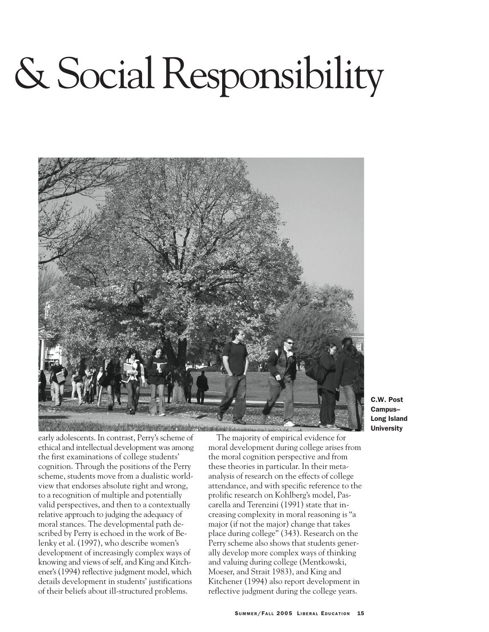# & Social Responsibility



C.W. Post Campus– Long Island **University** 

early adolescents. In contrast, Perry's scheme of ethical and intellectual development was among the first examinations of college students' cognition. Through the positions of the Perry scheme, students move from a dualistic worldview that endorses absolute right and wrong, to a recognition of multiple and potentially valid perspectives, and then to a contextually relative approach to judging the adequacy of moral stances. The developmental path described by Perry is echoed in the work of Belenky et al. (1997), who describe women's development of increasingly complex ways of knowing and views of self, and King and Kitchener's (1994) reflective judgment model, which details development in students' justifications of their beliefs about ill-structured problems.

The majority of empirical evidence for moral development during college arises from the moral cognition perspective and from these theories in particular. In their metaanalysis of research on the effects of college attendance, and with specific reference to the prolific research on Kohlberg's model, Pascarella and Terenzini (1991) state that increasing complexity in moral reasoning is "a major (if not the major) change that takes place during college" (343). Research on the Perry scheme also shows that students generally develop more complex ways of thinking and valuing during college (Mentkowski, Moeser, and Strait 1983), and King and Kitchener (1994) also report development in reflective judgment during the college years.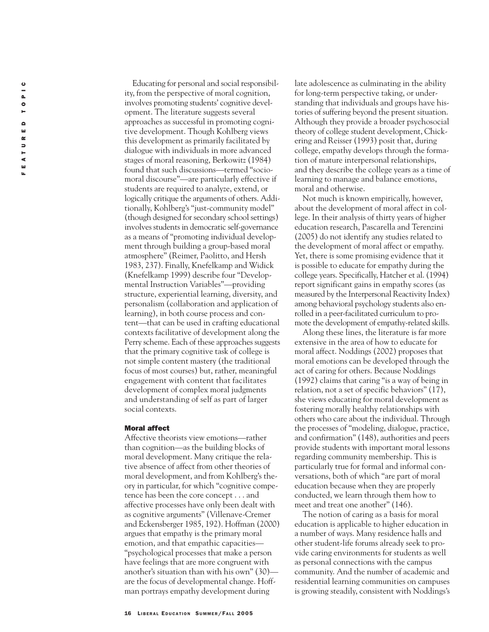Educating for personal and social responsibility, from the perspective of moral cognition, involves promoting students' cognitive development. The literature suggests several approaches as successful in promoting cognitive development. Though Kohlberg views this development as primarily facilitated by dialogue with individuals in more advanced stages of moral reasoning, Berkowitz (1984) found that such discussions—termed "sociomoral discourse"—are particularly effective if students are required to analyze, extend, or logically critique the arguments of others. Additionally, Kohlberg's "just-community model" (though designed for secondary school settings) involves students in democratic self-governance as a means of "promoting individual development through building a group-based moral atmosphere" (Reimer, Paolitto, and Hersh 1983, 237). Finally, Knefelkamp and Widick (Knefelkamp 1999) describe four "Developmental Instruction Variables"—providing structure, experiential learning, diversity, and personalism (collaboration and application of learning), in both course process and content—that can be used in crafting educational contexts facilitative of development along the Perry scheme. Each of these approaches suggests that the primary cognitive task of college is not simple content mastery (the traditional focus of most courses) but, rather, meaningful engagement with content that facilitates development of complex moral judgments and understanding of self as part of larger social contexts.

#### Moral affect

Affective theorists view emotions—rather than cognition—as the building blocks of moral development. Many critique the relative absence of affect from other theories of moral development, and from Kohlberg's theory in particular, for which "cognitive competence has been the core concept . . . and affective processes have only been dealt with as cognitive arguments" (Villenave-Cremer and Eckensberger 1985, 192). Hoffman (2000) argues that empathy is the primary moral emotion, and that empathic capacities— "psychological processes that make a person have feelings that are more congruent with another's situation than with his own" (30) are the focus of developmental change. Hoffman portrays empathy development during

late adolescence as culminating in the ability for long-term perspective taking, or understanding that individuals and groups have histories of suffering beyond the present situation. Although they provide a broader psychosocial theory of college student development, Chickering and Reisser (1993) posit that, during college, empathy develops through the formation of mature interpersonal relationships, and they describe the college years as a time of learning to manage and balance emotions, moral and otherwise.

Not much is known empirically, however, about the development of moral affect in college. In their analysis of thirty years of higher education research, Pascarella and Terenzini (2005) do not identify any studies related to the development of moral affect or empathy. Yet, there is some promising evidence that it is possible to educate for empathy during the college years. Specifically, Hatcher et al. (1994) report significant gains in empathy scores (as measured by the Interpersonal Reactivity Index) among behavioral psychology students also enrolled in a peer-facilitated curriculum to promote the development of empathy-related skills.

Along these lines, the literature is far more extensive in the area of how to educate for moral affect. Noddings (2002) proposes that moral emotions can be developed through the act of caring for others. Because Noddings (1992) claims that caring "is a way of being in relation, not a set of specific behaviors" (17), she views educating for moral development as fostering morally healthy relationships with others who care about the individual. Through the processes of "modeling, dialogue, practice, and confirmation" (148), authorities and peers provide students with important moral lessons regarding community membership. This is particularly true for formal and informal conversations, both of which "are part of moral education because when they are properly conducted, we learn through them how to meet and treat one another" (146).

The notion of caring as a basis for moral education is applicable to higher education in a number of ways. Many residence halls and other student-life forums already seek to provide caring environments for students as well as personal connections with the campus community. And the number of academic and residential learning communities on campuses is growing steadily, consistent with Noddings's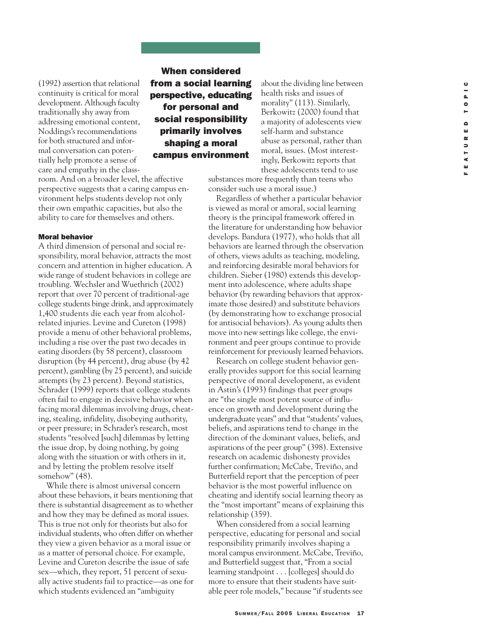(1992) assertion that relational continuity is critical for moral development. Although faculty traditionally shy away from addressing emotional content, Noddings's recommendations for both structured and informal conversation can potentially help promote a sense of care and empathy in the class-

room. And on a broader level, the affective perspective suggests that a caring campus environment helps students develop not only their own empathic capacities, but also the ability to care for themselves and others.

#### Moral behavior

A third dimension of personal and social responsibility, moral behavior, attracts the most concern and attention in higher education. A wide range of student behaviors in college are troubling. Wechsler and Wuethrich (2002) report that over 70 percent of traditional-age college students binge drink, and approximately 1,400 students die each year from alcoholrelated injuries. Levine and Cureton (1998) provide a menu of other behavioral problems, including a rise over the past two decades in eating disorders (by 58 percent), classroom disruption (by 44 percent), drug abuse (by 42 percent), gambling (by 25 percent), and suicide attempts (by 23 percent). Beyond statistics, Schrader (1999) reports that college students often fail to engage in decisive behavior when facing moral dilemmas involving drugs, cheating, stealing, infidelity, disobeying authority, or peer pressure; in Schrader's research, most students "resolved [such] dilemmas by letting the issue drop, by doing nothing, by going along with the situation or with others in it, and by letting the problem resolve itself somehow" (48).

While there is almost universal concern about these behaviors, it bears mentioning that there is substantial disagreement as to whether and how they may be defined as moral issues. This is true not only for theorists but also for individual students, who often differ on whether they view a given behavior as a moral issue or as a matter of personal choice. For example, Levine and Cureton describe the issue of safe sex—which, they report, 51 percent of sexually active students fail to practice—as one for which students evidenced an "ambiguity

## When considered from a social learning perspective, educating for personal and social responsibility primarily involves shaping a moral campus environment

these adolescents tend to use substances more frequently than teens who consider such use a moral issue.)

about the dividing line between health risks and issues of morality" (113). Similarly, Berkowitz (2000) found that a majority of adolescents view self-harm and substance abuse as personal, rather than moral, issues. (Most interestingly, Berkowitz reports that

Regardless of whether a particular behavior is viewed as moral or amoral, social learning theory is the principal framework offered in the literature for understanding how behavior develops. Bandura (1977), who holds that all behaviors are learned through the observation of others, views adults as teaching, modeling, and reinforcing desirable moral behaviors for children. Sieber (1980) extends this development into adolescence, where adults shape behavior (by rewarding behaviors that approximate those desired) and substitute behaviors (by demonstrating how to exchange prosocial for antisocial behaviors). As young adults then move into new settings like college, the environment and peer groups continue to provide reinforcement for previously learned behaviors.

Research on college student behavior generally provides support for this social learning perspective of moral development, as evident in Astin's (1993) findings that peer groups are "the single most potent source of influence on growth and development during the undergraduate years" and that "students' values, beliefs, and aspirations tend to change in the direction of the dominant values, beliefs, and aspirations of the peer group" (398). Extensive research on academic dishonesty provides further confirmation; McCabe, Treviño, and Butterfield report that the perception of peer behavior is the most powerful influence on cheating and identify social learning theory as the "most important" means of explaining this relationship (359).

When considered from a social learning perspective, educating for personal and social responsibility primarily involves shaping a moral campus environment. McCabe, Treviño, and Butterfield suggest that, "From a social learning standpoint . . . [colleges] should do more to ensure that their students have suitable peer role models," because "if students see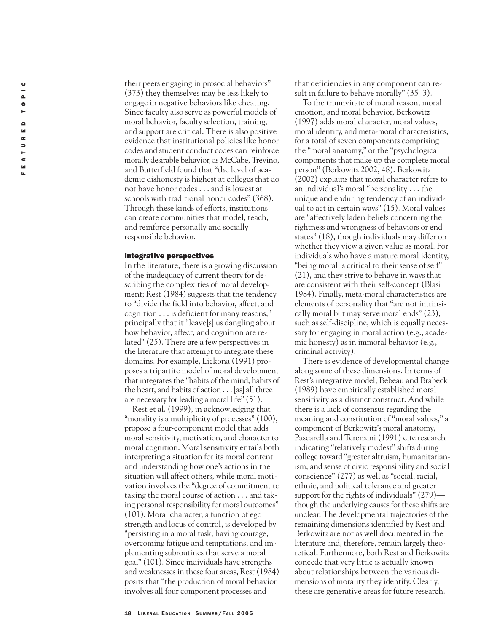their peers engaging in prosocial behaviors" (373) they themselves may be less likely to engage in negative behaviors like cheating. Since faculty also serve as powerful models of moral behavior, faculty selection, training, and support are critical. There is also positive evidence that institutional policies like honor codes and student conduct codes can reinforce morally desirable behavior, as McCabe, Treviño, and Butterfield found that "the level of academic dishonesty is highest at colleges that do not have honor codes . . . and is lowest at schools with traditional honor codes" (368). Through these kinds of efforts, institutions can create communities that model, teach, and reinforce personally and socially responsible behavior.

#### Integrative perspectives

In the literature, there is a growing discussion of the inadequacy of current theory for describing the complexities of moral development; Rest (1984) suggests that the tendency to "divide the field into behavior, affect, and cognition . . . is deficient for many reasons," principally that it "leave[s] us dangling about how behavior, affect, and cognition are related" (25). There are a few perspectives in the literature that attempt to integrate these domains. For example, Lickona (1991) proposes a tripartite model of moral development that integrates the "habits of the mind, habits of the heart, and habits of action . . . [as] all three are necessary for leading a moral life" (51).

Rest et al. (1999), in acknowledging that "morality is a multiplicity of processes" (100), propose a four-component model that adds moral sensitivity, motivation, and character to moral cognition. Moral sensitivity entails both interpreting a situation for its moral content and understanding how one's actions in the situation will affect others, while moral motivation involves the "degree of commitment to taking the moral course of action . . . and taking personal responsibility for moral outcomes" (101). Moral character, a function of ego strength and locus of control, is developed by "persisting in a moral task, having courage, overcoming fatigue and temptations, and implementing subroutines that serve a moral goal" (101). Since individuals have strengths and weaknesses in these four areas, Rest (1984) posits that "the production of moral behavior involves all four component processes and

that deficiencies in any component can result in failure to behave morally" (35–3).

To the triumvirate of moral reason, moral emotion, and moral behavior, Berkowitz (1997) adds moral character, moral values, moral identity, and meta-moral characteristics, for a total of seven components comprising the "moral anatomy," or the "psychological components that make up the complete moral person" (Berkowitz 2002, 48). Berkowitz (2002) explains that moral character refers to an individual's moral "personality . . . the unique and enduring tendency of an individual to act in certain ways" (15). Moral values are "affectively laden beliefs concerning the rightness and wrongness of behaviors or end states" (18), though individuals may differ on whether they view a given value as moral. For individuals who have a mature moral identity, "being moral is critical to their sense of self" (21), and they strive to behave in ways that are consistent with their self-concept (Blasi 1984). Finally, meta-moral characteristics are elements of personality that "are not intrinsically moral but may serve moral ends" (23), such as self-discipline, which is equally necessary for engaging in moral action (e.g., academic honesty) as in immoral behavior (e.g., criminal activity).

There is evidence of developmental change along some of these dimensions. In terms of Rest's integrative model, Bebeau and Brabeck (1989) have empirically established moral sensitivity as a distinct construct. And while there is a lack of consensus regarding the meaning and constitution of "moral values," a component of Berkowitz's moral anatomy, Pascarella and Terenzini (1991) cite research indicating "relatively modest" shifts during college toward "greater altruism, humanitarianism, and sense of civic responsibility and social conscience" (277) as well as "social, racial, ethnic, and political tolerance and greater support for the rights of individuals" (279) though the underlying causes for these shifts are unclear. The developmental trajectories of the remaining dimensions identified by Rest and Berkowitz are not as well documented in the literature and, therefore, remain largely theoretical. Furthermore, both Rest and Berkowitz concede that very little is actually known about relationships between the various dimensions of morality they identify. Clearly, these are generative areas for future research.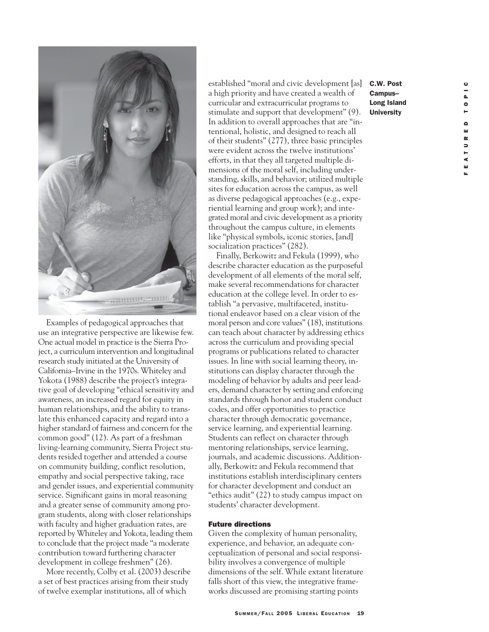

Examples of pedagogical approaches that use an integrative perspective are likewise few. One actual model in practice is the Sierra Project, a curriculum intervention and longitudinal research study initiated at the University of California–Irvine in the 1970s. Whiteley and Yokota (1988) describe the project's integrative goal of developing "ethical sensitivity and awareness, an increased regard for equity in human relationships, and the ability to translate this enhanced capacity and regard into a higher standard of fairness and concern for the common good" (12). As part of a freshman living-learning community, Sierra Project students resided together and attended a course on community building, conflict resolution, empathy and social perspective taking, race and gender issues, and experiential community service. Significant gains in moral reasoning and a greater sense of community among program students, along with closer relationships with faculty and higher graduation rates, are reported by Whiteley and Yokota, leading them to conclude that the project made "a moderate contribution toward furthering character development in college freshmen" (26).

More recently, Colby et al. (2003) describe a set of best practices arising from their study of twelve exemplar institutions, all of which

established "moral and civic development [as] a high priority and have created a wealth of curricular and extracurricular programs to stimulate and support that development" (9). In addition to overall approaches that are "intentional, holistic, and designed to reach all of their students" (277), three basic principles were evident across the twelve institutions' efforts, in that they all targeted multiple dimensions of the moral self, including understanding, skills, and behavior; utilized multiple sites for education across the campus, as well as diverse pedagogical approaches (e.g., experiential learning and group work); and integrated moral and civic development as a priority throughout the campus culture, in elements like "physical symbols, iconic stories, [and] socialization practices" (282).

Finally, Berkowitz and Fekula (1999), who describe character education as the purposeful development of all elements of the moral self, make several recommendations for character education at the college level. In order to establish "a pervasive, multifaceted, institutional endeavor based on a clear vision of the moral person and core values" (18), institutions can teach about character by addressing ethics across the curriculum and providing special programs or publications related to character issues. In line with social learning theory, institutions can display character through the modeling of behavior by adults and peer leaders, demand character by setting and enforcing standards through honor and student conduct codes, and offer opportunities to practice character through democratic governance, service learning, and experiential learning. Students can reflect on character through mentoring relationships, service learning, journals, and academic discussions. Additionally, Berkowitz and Fekula recommend that institutions establish interdisciplinary centers for character development and conduct an "ethics audit" (22) to study campus impact on students' character development.

#### Future directions

Given the complexity of human personality, experience, and behavior, an adequate conceptualization of personal and social responsibility involves a convergence of multiple dimensions of the self. While extant literature falls short of this view, the integrative frameworks discussed are promising starting points

C.W. Post Campus– Long Island **University**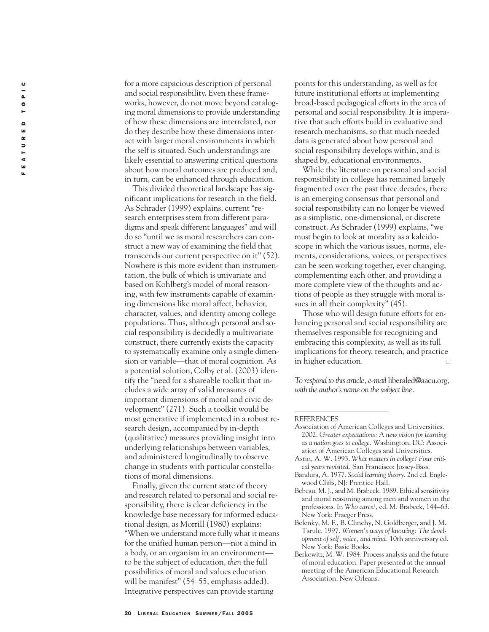for a more capacious description of personal and social responsibility. Even these frameworks, however, do not move beyond cataloging moral dimensions to provide understanding of how these dimensions are interrelated, nor do they describe how these dimensions interact with larger moral environments in which the self is situated. Such understandings are likely essential to answering critical questions about how moral outcomes are produced and, in turn, can be enhanced through education.

This divided theoretical landscape has significant implications for research in the field. As Schrader (1999) explains, current "research enterprises stem from different paradigms and speak different languages" and will do so "until we as moral researchers can construct a new way of examining the field that transcends our current perspective on it" (52). Nowhere is this more evident than instrumentation, the bulk of which is univariate and based on Kohlberg's model of moral reasoning, with few instruments capable of examining dimensions like moral affect, behavior, character, values, and identity among college populations. Thus, although personal and social responsibility is decidedly a multivariate construct, there currently exists the capacity to systematically examine only a single dimension or variable—that of moral cognition. As a potential solution, Colby et al. (2003) identify the "need for a shareable toolkit that includes a wide array of valid measures of important dimensions of moral and civic development" (271). Such a toolkit would be most generative if implemented in a robust research design, accompanied by in-depth (qualitative) measures providing insight into underlying relationships between variables, and administered longitudinally to observe change in students with particular constellations of moral dimensions.

Finally, given the current state of theory and research related to personal and social responsibility, there is clear deficiency in the knowledge base necessary for informed educational design, as Morrill (1980) explains: "When we understand more fully what it means for the unified human person—not a mind in a body, or an organism in an environment to be the subject of education, *then* the full possibilities of moral and values education will be manifest" (54–55, emphasis added). Integrative perspectives can provide starting

points for this understanding, as well as for future institutional efforts at implementing broad-based pedagogical efforts in the area of personal and social responsibility. It is imperative that such efforts build in evaluative and research mechanisms, so that much needed data is generated about how personal and social responsibility develops within, and is shaped by, educational environments.

While the literature on personal and social responsibility in college has remained largely fragmented over the past three decades, there is an emerging consensus that personal and social responsibility can no longer be viewed as a simplistic, one-dimensional, or discrete construct. As Schrader (1999) explains, "we must begin to look at morality as a kaleidoscope in which the various issues, norms, elements, considerations, voices, or perspectives can be seen working together, ever changing, complementing each other, and providing a more complete view of the thoughts and actions of people as they struggle with moral issues in all their complexity" (45).

Those who will design future efforts for enhancing personal and social responsibility are themselves responsible for recognizing and embracing this complexity, as well as its full implications for theory, research, and practice in higher education.  $\Box$ 

*To respond to this article, e-mail* liberaled@aacu.org *, with the author's name on the subject line.*

- Astin, A. W. 1993. *What matters in college? Four critical years revisited.* San Francisco: Jossey-Bass.
- Bandura, A. 1977. *Social learning theory*. 2nd ed. Englewood Cliffs, NJ: Prentice Hall.
- Bebeau, M. J., and M. Brabeck. 1989. Ethical sensitivity and moral reasoning among men and women in the professions. In *Who cares?*, ed. M. Brabeck, 144–63. New York: Praeger Press.
- Belenky, M. F., B. Clinchy, N. Goldberger, and J. M. Tarule. 1997. *Women's ways of knowing: The development of self, voice, and mind.* 10th anniversary ed. New York: Basic Books.
- Berkowitz, M. W. 1984. Process analysis and the future of moral education. Paper presented at the annual meeting of the American Educational Research Association, New Orleans.

**REFERENCES** 

Association of American Colleges and Universities. 2002. *Greater expectations: A new vision for learning as a nation goes to college*. Washington, DC: Association of American Colleges and Universities.